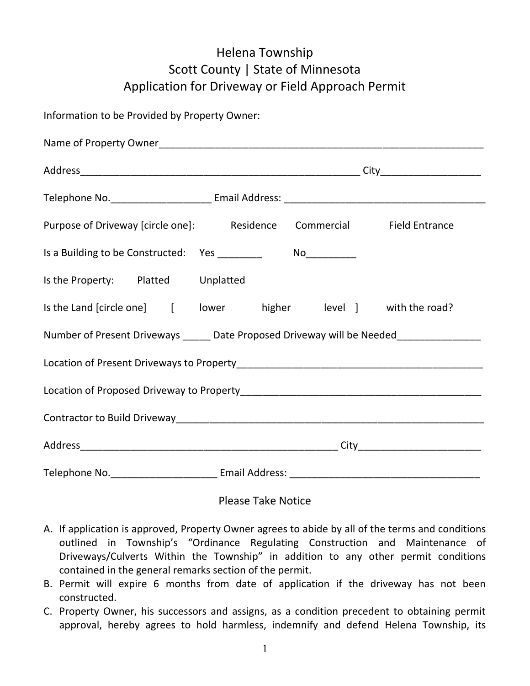## Helena Township Scott County | State of Minnesota Application for Driveway or Field Approach Permit

Information to be Provided by Property Owner:

|                                                                                   | Purpose of Driveway [circle one]: Residence Commercial Field Entrance                                                                                                                                                          |  |
|-----------------------------------------------------------------------------------|--------------------------------------------------------------------------------------------------------------------------------------------------------------------------------------------------------------------------------|--|
| Is a Building to be Constructed: Yes ________                                     |                                                                                                                                                                                                                                |  |
| Is the Property: Platted Unplatted                                                |                                                                                                                                                                                                                                |  |
|                                                                                   | Is the Land [circle one] [ lower higher level ] with the road?                                                                                                                                                                 |  |
| Number of Present Driveways _____ Date Proposed Driveway will be Needed__________ |                                                                                                                                                                                                                                |  |
|                                                                                   |                                                                                                                                                                                                                                |  |
|                                                                                   |                                                                                                                                                                                                                                |  |
|                                                                                   |                                                                                                                                                                                                                                |  |
|                                                                                   |                                                                                                                                                                                                                                |  |
|                                                                                   | Telephone No. 1990 Committee Contract Email Address: 2001 Committee Contract Committee Committee Committee Committee Committee Committee Committee Committee Committee Committee Committee Committee Committee Committee Commi |  |

## Please Take Notice

- A. If application is approved, Property Owner agrees to abide by all of the terms and conditions outlined in Township's "Ordinance Regulating Construction and Maintenance of Driveways/Culverts Within the Township" in addition to any other permit conditions contained in the general remarks section of the permit.
- B. Permit will expire 6 months from date of application if the driveway has not been constructed.
- C. Property Owner, his successors and assigns, as a condition precedent to obtaining permit approval, hereby agrees to hold harmless, indemnify and defend Helena Township, its